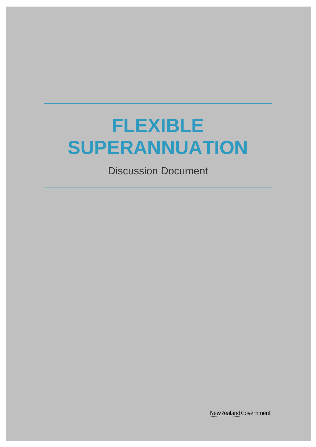# **FLEXIBLE SUPERANNUATION**

Discussion Document

New Zealand Government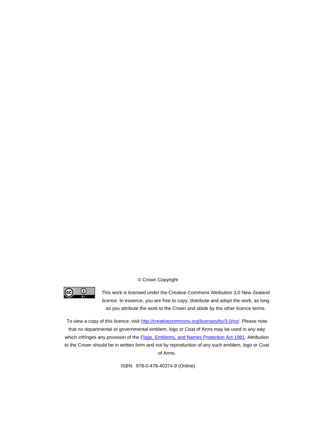#### © Crown Copyright



This work is licensed under the Creative Commons Attribution 3.0 New Zealand licence. In essence, you are free to copy, distribute and adapt the work, as long as you attribute the work to the Crown and abide by the other licence terms.

To view a copy of this licence, visit [http://creativecommons.org/licenses/by/3.0/nz/.](http://creativecommons.org/licenses/by/3.0/nz/) Please note that no departmental or governmental emblem, logo or Coat of Arms may be used in any way which infringes any provision of the **Flags, Emblems, and Names Protection Act 1981**. Attribution to the Crown should be in written form and not by reproduction of any such emblem, logo or Coat of Arms.

ISBN: 978-0-478-40374-9 (Online)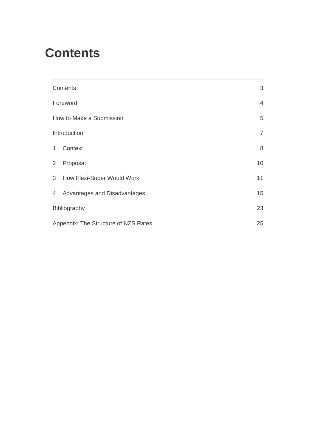## <span id="page-2-0"></span>**Contents**

|                          | Contents                             | 3              |  |
|--------------------------|--------------------------------------|----------------|--|
| Foreword                 |                                      |                |  |
| How to Make a Submission |                                      |                |  |
| Introduction             |                                      | $\overline{7}$ |  |
| $\mathbf{1}$             | Context                              | 8              |  |
| $\overline{2}$           | Proposal                             | 10             |  |
|                          | 3 How Flexi-Super Would Work         | 11             |  |
|                          | 4 Advantages and Disadvantages       | 15             |  |
| Bibliography             |                                      | 23             |  |
|                          | Appendix: The Structure of NZS Rates |                |  |
|                          |                                      |                |  |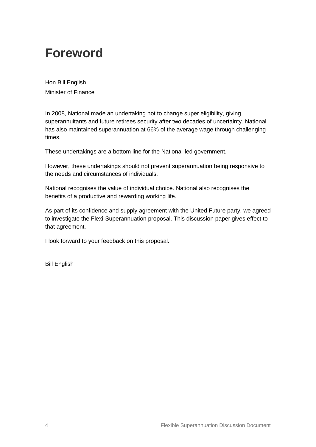## <span id="page-3-0"></span>**Foreword**

Hon Bill English Minister of Finance

In 2008, National made an undertaking not to change super eligibility, giving superannuitants and future retirees security after two decades of uncertainty. National has also maintained superannuation at 66% of the average wage through challenging times.

These undertakings are a bottom line for the National-led government.

However, these undertakings should not prevent superannuation being responsive to the needs and circumstances of individuals.

National recognises the value of individual choice. National also recognises the benefits of a productive and rewarding working life.

As part of its confidence and supply agreement with the United Future party, we agreed to investigate the Flexi-Superannuation proposal. This discussion paper gives effect to that agreement.

I look forward to your feedback on this proposal.

Bill English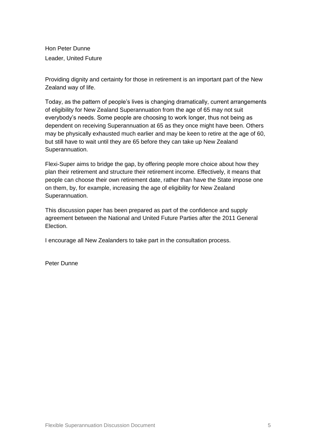<span id="page-4-0"></span>Hon Peter Dunne Leader, United Future

Providing dignity and certainty for those in retirement is an important part of the New Zealand way of life.

Today, as the pattern of people's lives is changing dramatically, current arrangements of eligibility for New Zealand Superannuation from the age of 65 may not suit everybody's needs. Some people are choosing to work longer, thus not being as dependent on receiving Superannuation at 65 as they once might have been. Others may be physically exhausted much earlier and may be keen to retire at the age of 60, but still have to wait until they are 65 before they can take up New Zealand Superannuation.

Flexi-Super aims to bridge the gap, by offering people more choice about how they plan their retirement and structure their retirement income. Effectively, it means that people can choose their own retirement date, rather than have the State impose one on them, by, for example, increasing the age of eligibility for New Zealand Superannuation.

This discussion paper has been prepared as part of the confidence and supply agreement between the National and United Future Parties after the 2011 General Election.

I encourage all New Zealanders to take part in the consultation process.

Peter Dunne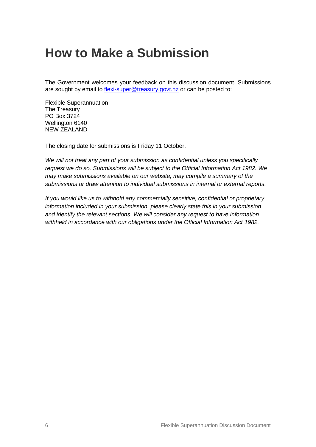## **How to Make a Submission**

The Government welcomes your feedback on this discussion document. Submissions are sought by email to [flexi-super@treasury.govt.nz](mailto:flexi-super@treasury.govt.nz) or can be posted to:

Flexible Superannuation The Treasury PO Box 3724 Wellington 6140 NEW ZEALAND

The closing date for submissions is Friday 11 October.

*We will not treat any part of your submission as confidential unless you specifically request we do so. Submissions will be subject to the Official Information Act 1982. We may make submissions available on our website, may compile a summary of the submissions or draw attention to individual submissions in internal or external reports.*

*If you would like us to withhold any commercially sensitive, confidential or proprietary information included in your submission, please clearly state this in your submission and identify the relevant sections. We will consider any request to have information withheld in accordance with our obligations under the Official Information Act 1982.*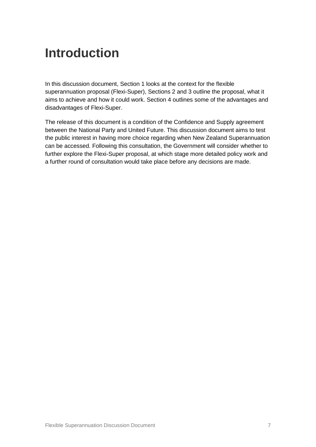## <span id="page-6-0"></span>**Introduction**

In this discussion document, Section 1 looks at the context for the flexible superannuation proposal (Flexi-Super), Sections 2 and 3 outline the proposal, what it aims to achieve and how it could work. Section 4 outlines some of the advantages and disadvantages of Flexi-Super.

The release of this document is a condition of the Confidence and Supply agreement between the National Party and United Future. This discussion document aims to test the public interest in having more choice regarding when New Zealand Superannuation can be accessed. Following this consultation, the Government will consider whether to further explore the Flexi-Super proposal, at which stage more detailed policy work and a further round of consultation would take place before any decisions are made.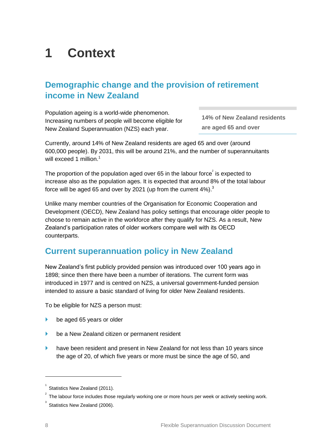## <span id="page-7-0"></span>**1 Context**

### **Demographic change and the provision of retirement income in New Zealand**

Population ageing is a world-wide phenomenon. Increasing numbers of people will become eligible for New Zealand Superannuation (NZS) each year.

**14% of New Zealand residents are aged 65 and over**

Currently, around 14% of New Zealand residents are aged 65 and over (around 600,000 people). By 2031, this will be around 21%, and the number of superannuitants will exceed 1 million.<sup>1</sup>

The proportion of the population aged over 65 in the labour force<sup>2</sup> is expected to increase also as the population ages. It is expected that around 8% of the total labour force will be aged 65 and over by 2021 (up from the current  $4\%$ ).<sup>3</sup>

Unlike many member countries of the Organisation for Economic Cooperation and Development (OECD), New Zealand has policy settings that encourage older people to choose to remain active in the workforce after they qualify for NZS. As a result, New Zealand's participation rates of older workers compare well with its OECD counterparts.

### **Current superannuation policy in New Zealand**

New Zealand's first publicly provided pension was introduced over 100 years ago in 1898; since then there have been a number of iterations. The current form was introduced in 1977 and is centred on NZS, a universal government-funded pension intended to assure a basic standard of living for older New Zealand residents.

To be eligible for NZS a person must:

- be aged 65 years or older
- be a New Zealand citizen or permanent resident
- have been resident and present in New Zealand for not less than 10 years since the age of 20, of which five years or more must be since the age of 50, and

-

<sup>1</sup> Statistics New Zealand (2011).

<sup>2</sup> The labour force includes those regularly working one or more hours per week or actively seeking work.

 $3$  Statistics New Zealand (2006).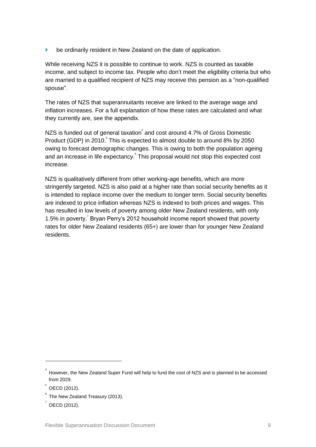**be ordinarily resident in New Zealand on the date of application.** 

While receiving NZS it is possible to continue to work. NZS is counted as taxable income, and subject to income tax. People who don't meet the eligibility criteria but who are married to a qualified recipient of NZS may receive this pension as a "non-qualified spouse".

The rates of NZS that superannuitants receive are linked to the average wage and inflation increases. For a full explanation of how these rates are calculated and what they currently are, see the appendix.

NZS is funded out of general taxation $^4$  and cost around 4.7% of Gross Domestic Product (GDP) in 2010. This is expected to almost double to around 8% by 2050 owing to forecast demographic changes. This is owing to both the population ageing and an increase in life expectancy. This proposal would not stop this expected cost increase.

NZS is qualitatively different from other working-age benefits, which are more stringently targeted. NZS is also paid at a higher rate than social security benefits as it is intended to replace income over the medium to longer term. Social security benefits are indexed to price inflation whereas NZS is indexed to both prices and wages. This has resulted in low levels of poverty among older New Zealand residents, with only 1.5% in poverty.<sup>7</sup> Bryan Perry's 2012 household income report showed that poverty rates for older New Zealand residents (65+) are lower than for younger New Zealand residents.

<sup>4</sup> However, the New Zealand Super Fund will help to fund the cost of NZS and is planned to be accessed from 2029.

 $5$  OECD (2012).

<sup>6</sup> The New Zealand Treasury (2013).

 $\sqrt{7}$  OECD (2012).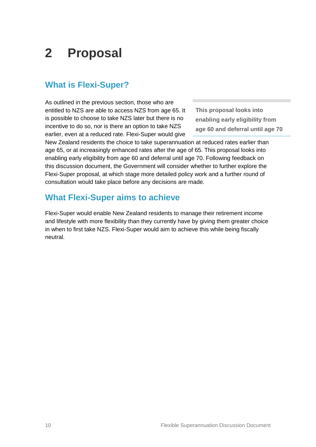## <span id="page-9-0"></span>**2 Proposal**

### **What is Flexi-Super?**

As outlined in the previous section, those who are entitled to NZS are able to access NZS from age 65. It is possible to choose to take NZS later but there is no incentive to do so, nor is there an option to take NZS earlier, even at a reduced rate. Flexi-Super would give

**This proposal looks into enabling early eligibility from age 60 and deferral until age 70**

New Zealand residents the choice to take superannuation at reduced rates earlier than age 65, or at increasingly enhanced rates after the age of 65. This proposal looks into enabling early eligibility from age 60 and deferral until age 70. Following feedback on this discussion document, the Government will consider whether to further explore the Flexi-Super proposal, at which stage more detailed policy work and a further round of consultation would take place before any decisions are made.

### **What Flexi-Super aims to achieve**

Flexi-Super would enable New Zealand residents to manage their retirement income and lifestyle with more flexibility than they currently have by giving them greater choice in when to first take NZS. Flexi-Super would aim to achieve this while being fiscally neutral.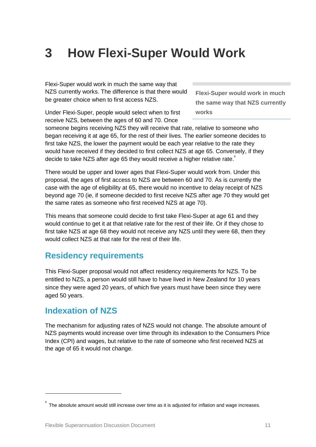## <span id="page-10-0"></span>**3 How Flexi-Super Would Work**

Flexi-Super would work in much the same way that NZS currently works. The difference is that there would be greater choice when to first access NZS.

**Flexi-Super would work in much the same way that NZS currently works**

Under Flexi-Super, people would select when to first receive NZS, between the ages of 60 and 70. Once

someone begins receiving NZS they will receive that rate, relative to someone who began receiving it at age 65, for the rest of their lives. The earlier someone decides to first take NZS, the lower the payment would be each year relative to the rate they would have received if they decided to first collect NZS at age 65. Conversely, if they decide to take NZS after age 65 they would receive a higher relative rate.

There would be upper and lower ages that Flexi-Super would work from. Under this proposal, the ages of first access to NZS are between 60 and 70. As is currently the case with the age of eligibility at 65, there would no incentive to delay receipt of NZS beyond age 70 (ie, if someone decided to first receive NZS after age 70 they would get the same rates as someone who first received NZS at age 70).

This means that someone could decide to first take Flexi-Super at age 61 and they would continue to get it at that relative rate for the rest of their life. Or if they chose to first take NZS at age 68 they would not receive any NZS until they were 68, then they would collect NZS at that rate for the rest of their life.

### **Residency requirements**

This Flexi-Super proposal would not affect residency requirements for NZS. To be entitled to NZS, a person would still have to have lived in New Zealand for 10 years since they were aged 20 years, of which five years must have been since they were aged 50 years.

### **Indexation of NZS**

1

The mechanism for adjusting rates of NZS would not change. The absolute amount of NZS payments would increase over time through its indexation to the Consumers Price Index (CPI) and wages, but relative to the rate of someone who first received NZS at the age of 65 it would not change.

<sup>8</sup> The absolute amount would still increase over time as it is adjusted for inflation and wage increases.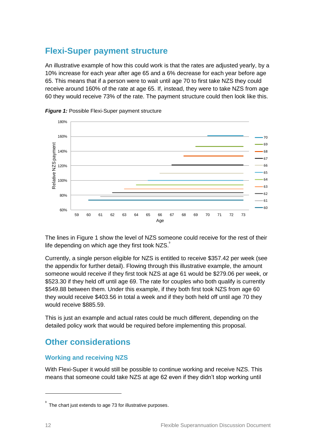### **Flexi-Super payment structure**

An illustrative example of how this could work is that the rates are adjusted yearly, by a 10% increase for each year after age 65 and a 6% decrease for each year before age 65. This means that if a person were to wait until age 70 to first take NZS they could receive around 160% of the rate at age 65. If, instead, they were to take NZS from age 60 they would receive 73% of the rate. The payment structure could then look like this.





The lines in Figure 1 show the level of NZS someone could receive for the rest of their life depending on which age they first took  $NZS$ .

Currently, a single person eligible for NZS is entitled to receive \$357.42 per week (see the appendix for further detail). Flowing through this illustrative example, the amount someone would receive if they first took NZS at age 61 would be \$279.06 per week, or \$523.30 if they held off until age 69. The rate for couples who both qualify is currently \$549.88 between them. Under this example, if they both first took NZS from age 60 they would receive \$403.56 in total a week and if they both held off until age 70 they would receive \$885.59.

This is just an example and actual rates could be much different, depending on the detailed policy work that would be required before implementing this proposal.

### **Other considerations**

#### **Working and receiving NZS**

With Flexi-Super it would still be possible to continue working and receive NZS. This means that someone could take NZS at age 62 even if they didn't stop working until

 $\degree$  The chart just extends to age 73 for illustrative purposes.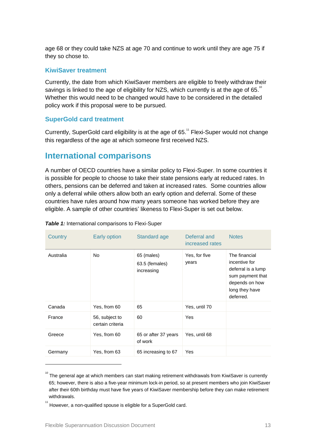age 68 or they could take NZS at age 70 and continue to work until they are age 75 if they so chose to.

#### **KiwiSaver treatment**

Currently, the date from which KiwiSaver members are eligible to freely withdraw their savings is linked to the age of eligibility for NZS, which currently is at the age of 65.<sup>10</sup> Whether this would need to be changed would have to be considered in the detailed policy work if this proposal were to be pursued.

#### **SuperGold card treatment**

Currently, SuperGold card eligibility is at the age of 65. <sup>11</sup> Flexi-Super would not change this regardless of the age at which someone first received NZS.

### **International comparisons**

A number of OECD countries have a similar policy to Flexi-Super. In some countries it is possible for people to choose to take their state pensions early at reduced rates. In others, pensions can be deferred and taken at increased rates. Some countries allow only a deferral while others allow both an early option and deferral. Some of these countries have rules around how many years someone has worked before they are eligible. A sample of other countries' likeness to Flexi-Super is set out below.

| Country   | Early option                       | Standard age                               | Deferral and<br>increased rates | <b>Notes</b>                                                                                                              |
|-----------|------------------------------------|--------------------------------------------|---------------------------------|---------------------------------------------------------------------------------------------------------------------------|
| Australia | <b>No</b>                          | 65 (males)<br>63.5 (females)<br>increasing | Yes, for five<br>years          | The financial<br>incentive for<br>deferral is a lump<br>sum payment that<br>depends on how<br>long they have<br>deferred. |
| Canada    | Yes, from 60                       | 65                                         | Yes, until 70                   |                                                                                                                           |
| France    | 56, subject to<br>certain criteria | 60                                         | Yes                             |                                                                                                                           |
| Greece    | Yes, from 60                       | 65 or after 37 years<br>of work            | Yes, until 68                   |                                                                                                                           |
| Germany   | Yes, from 63                       | 65 increasing to 67                        | Yes                             |                                                                                                                           |

#### **Table 1:** International comparisons to Flexi-Super

<sup>10</sup> The general age at which members can start making retirement withdrawals from KiwiSaver is currently 65; however, there is also a five-year minimum lock-in period, so at present members who join KiwiSaver after their 60th birthday must have five years of KiwiSaver membership before they can make retirement withdrawals.

 $11$  However, a non-qualified spouse is eligible for a SuperGold card.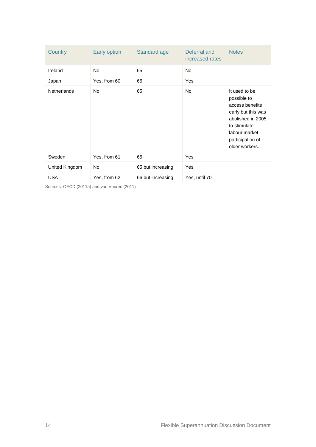| Country            | Early option | Standard age      | Deferral and<br>increased rates | <b>Notes</b>                                                                                                                                                      |
|--------------------|--------------|-------------------|---------------------------------|-------------------------------------------------------------------------------------------------------------------------------------------------------------------|
| Ireland            | <b>No</b>    | 65                | <b>No</b>                       |                                                                                                                                                                   |
| Japan              | Yes, from 60 | 65                | Yes                             |                                                                                                                                                                   |
| <b>Netherlands</b> | <b>No</b>    | 65                | No                              | It used to be<br>possible to<br>access benefits<br>early but this was<br>abolished in 2005<br>to stimulate<br>labour market<br>participation of<br>older workers. |
| Sweden             | Yes, from 61 | 65                | Yes                             |                                                                                                                                                                   |
| United Kingdom     | No           | 65 but increasing | Yes                             |                                                                                                                                                                   |
| USA                | Yes, from 62 | 66 but increasing | Yes, until 70                   |                                                                                                                                                                   |

Sources: OECD (2011a) and van Vuuren (2011)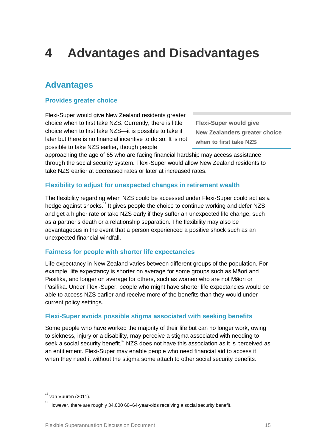## <span id="page-14-0"></span>**4 Advantages and Disadvantages**

### **Advantages**

#### **Provides greater choice**

Flexi-Super would give New Zealand residents greater choice when to first take NZS. Currently, there is little choice when to first take NZS—it is possible to take it later but there is no financial incentive to do so. It is not possible to take NZS earlier, though people

**Flexi-Super would give New Zealanders greater choice when to first take NZS**

approaching the age of 65 who are facing financial hardship may access assistance through the social security system. Flexi-Super would allow New Zealand residents to take NZS earlier at decreased rates or later at increased rates.

#### **Flexibility to adjust for unexpected changes in retirement wealth**

The flexibility regarding when NZS could be accessed under Flexi-Super could act as a hedge against shocks.<sup>12</sup> It gives people the choice to continue working and defer NZS and get a higher rate or take NZS early if they suffer an unexpected life change, such as a partner's death or a relationship separation. The flexibility may also be advantageous in the event that a person experienced a positive shock such as an unexpected financial windfall.

#### **Fairness for people with shorter life expectancies**

Life expectancy in New Zealand varies between different groups of the population. For example, life expectancy is shorter on average for some groups such as Māori and Pasifika, and longer on average for others, such as women who are not Māori or Pasifika. Under Flexi-Super, people who might have shorter life expectancies would be able to access NZS earlier and receive more of the benefits than they would under current policy settings.

#### **Flexi-Super avoids possible stigma associated with seeking benefits**

Some people who have worked the majority of their life but can no longer work, owing to sickness, injury or a disability, may perceive a stigma associated with needing to seek a social security benefit.<sup>13</sup> NZS does not have this association as it is perceived as an entitlement. Flexi-Super may enable people who need financial aid to access it when they need it without the stigma some attach to other social security benefits.

<sup>12</sup> van Vuuren (2011).

 $13$  However, there are roughly 34,000 60–64-year-olds receiving a social security benefit.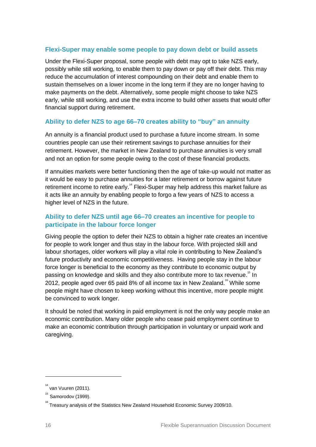#### **Flexi-Super may enable some people to pay down debt or build assets**

Under the Flexi-Super proposal, some people with debt may opt to take NZS early, possibly while still working, to enable them to pay down or pay off their debt. This may reduce the accumulation of interest compounding on their debt and enable them to sustain themselves on a lower income in the long term if they are no longer having to make payments on the debt. Alternatively, some people might choose to take NZS early, while still working, and use the extra income to build other assets that would offer financial support during retirement.

#### **Ability to defer NZS to age 66–70 creates ability to "buy" an annuity**

An annuity is a financial product used to purchase a future income stream. In some countries people can use their retirement savings to purchase annuities for their retirement. However, the market in New Zealand to purchase annuities is very small and not an option for some people owing to the cost of these financial products.

If annuities markets were better functioning then the age of take-up would not matter as it would be easy to purchase annuities for a later retirement or borrow against future retirement income to retire early.<sup>14</sup> Flexi-Super may help address this market failure as it acts like an annuity by enabling people to forgo a few years of NZS to access a higher level of NZS in the future.

#### **Ability to defer NZS until age 66–70 creates an incentive for people to participate in the labour force longer**

Giving people the option to defer their NZS to obtain a higher rate creates an incentive for people to work longer and thus stay in the labour force. With projected skill and labour shortages, older workers will play a vital role in contributing to New Zealand's future productivity and economic competitiveness. Having people stay in the labour force longer is beneficial to the economy as they contribute to economic output by passing on knowledge and skills and they also contribute more to tax revenue.<sup>15</sup> In 2012, people aged over 65 paid 8% of all income tax in New Zealand.<sup>16</sup> While some people might have chosen to keep working without this incentive, more people might be convinced to work longer.

It should be noted that working in paid employment is not the only way people make an economic contribution. Many older people who cease paid employment continue to make an economic contribution through participation in voluntary or unpaid work and caregiving.

-

 $14$  van Vuuren (2011).

<sup>15</sup> Samorodov (1999).

<sup>&</sup>lt;sup>16</sup> Treasury analysis of the Statistics New Zealand Household Economic Survey 2009/10.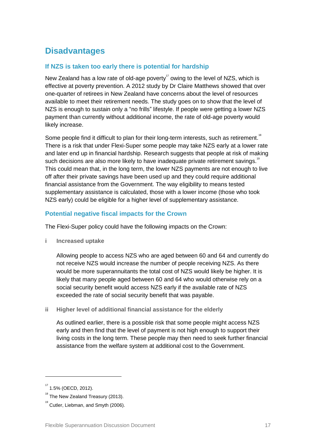## **Disadvantages**

#### **If NZS is taken too early there is potential for hardship**

New Zealand has a low rate of old-age poverty<sup>17</sup> owing to the level of NZS, which is effective at poverty prevention. A 2012 study by Dr Claire Matthews showed that over one-quarter of retirees in New Zealand have concerns about the level of resources available to meet their retirement needs. The study goes on to show that the level of NZS is enough to sustain only a "no frills" lifestyle. If people were getting a lower NZS payment than currently without additional income, the rate of old-age poverty would likely increase.

Some people find it difficult to plan for their long-term interests, such as retirement.<sup>18</sup> There is a risk that under Flexi-Super some people may take NZS early at a lower rate and later end up in financial hardship. Research suggests that people at risk of making such decisions are also more likely to have inadequate private retirement savings.<sup>19</sup> This could mean that, in the long term, the lower NZS payments are not enough to live off after their private savings have been used up and they could require additional financial assistance from the Government. The way eligibility to means tested supplementary assistance is calculated, those with a lower income (those who took NZS early) could be eligible for a higher level of supplementary assistance.

#### **Potential negative fiscal impacts for the Crown**

The Flexi-Super policy could have the following impacts on the Crown:

**i Increased uptake**

Allowing people to access NZS who are aged between 60 and 64 and currently do not receive NZS would increase the number of people receiving NZS. As there would be more superannuitants the total cost of NZS would likely be higher. It is likely that many people aged between 60 and 64 who would otherwise rely on a social security benefit would access NZS early if the available rate of NZS exceeded the rate of social security benefit that was payable.

**ii Higher level of additional financial assistance for the elderly**

As outlined earlier, there is a possible risk that some people might access NZS early and then find that the level of payment is not high enough to support their living costs in the long term. These people may then need to seek further financial assistance from the welfare system at additional cost to the Government.

-

 $17$  1.5% (OECD, 2012).

<sup>&</sup>lt;sup>18</sup> The New Zealand Treasury (2013).

 $19$  Cutler, Liebman, and Smyth (2006).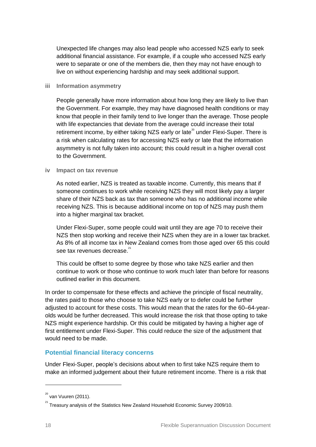Unexpected life changes may also lead people who accessed NZS early to seek additional financial assistance. For example, if a couple who accessed NZS early were to separate or one of the members die, then they may not have enough to live on without experiencing hardship and may seek additional support.

#### **iii Information asymmetry**

People generally have more information about how long they are likely to live than the Government. For example, they may have diagnosed health conditions or may know that people in their family tend to live longer than the average. Those people with life expectancies that deviate from the average could increase their total retirement income, by either taking NZS early or late<sup>20</sup> under Flexi-Super. There is a risk when calculating rates for accessing NZS early or late that the information asymmetry is not fully taken into account; this could result in a higher overall cost to the Government.

#### **iv Impact on tax revenue**

As noted earlier, NZS is treated as taxable income. Currently, this means that if someone continues to work while receiving NZS they will most likely pay a larger share of their NZS back as tax than someone who has no additional income while receiving NZS. This is because additional income on top of NZS may push them into a higher marginal tax bracket.

Under Flexi-Super, some people could wait until they are age 70 to receive their NZS then stop working and receive their NZS when they are in a lower tax bracket. As 8% of all income tax in New Zealand comes from those aged over 65 this could see tax revenues decrease.<sup>21</sup>

This could be offset to some degree by those who take NZS earlier and then continue to work or those who continue to work much later than before for reasons outlined earlier in this document.

In order to compensate for these effects and achieve the principle of fiscal neutrality, the rates paid to those who choose to take NZS early or to defer could be further adjusted to account for these costs. This would mean that the rates for the 60–64-yearolds would be further decreased. This would increase the risk that those opting to take NZS might experience hardship. Or this could be mitigated by having a higher age of first entitlement under Flexi-Super. This could reduce the size of the adjustment that would need to be made.

#### **Potential financial literacy concerns**

Under Flexi-Super, people's decisions about when to first take NZS require them to make an informed judgement about their future retirement income. There is a risk that

<sup>20</sup> van Vuuren (2011).

<sup>&</sup>lt;sup>21</sup> Treasury analysis of the Statistics New Zealand Household Economic Survey 2009/10.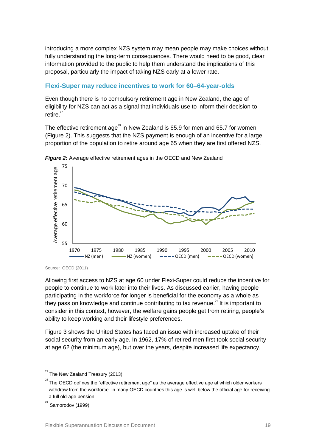introducing a more complex NZS system may mean people may make choices without fully understanding the long-term consequences. There would need to be good, clear information provided to the public to help them understand the implications of this proposal, particularly the impact of taking NZS early at a lower rate.

#### **Flexi-Super may reduce incentives to work for 60–64-year-olds**

Even though there is no compulsory retirement age in New Zealand, the age of eligibility for NZS can act as a signal that individuals use to inform their decision to  $r$ etire $22$ 

The effective retirement age<sup>23</sup> in New Zealand is 65.9 for men and 65.7 for women (Figure 2). This suggests that the NZS payment is enough of an incentive for a large proportion of the population to retire around age 65 when they are first offered NZS.





Source: OECD (2011)

Allowing first access to NZS at age 60 under Flexi-Super could reduce the incentive for people to continue to work later into their lives. As discussed earlier, having people participating in the workforce for longer is beneficial for the economy as a whole as they pass on knowledge and continue contributing to tax revenue. $^{24}$  It is important to consider in this context, however, the welfare gains people get from retiring, people's ability to keep working and their lifestyle preferences.

Figure 3 shows the United States has faced an issue with increased uptake of their social security from an early age. In 1962, 17% of retired men first took social security at age 62 (the minimum age), but over the years, despite increased life expectancy,

<sup>22</sup> The New Zealand Treasury (2013).

 $^{23}$  The OECD defines the "effective retirement age" as the average effective age at which older workers withdraw from the workforce. In many OECD countries this age is well below the official age for receiving a full old-age pension.

<sup>24</sup> Samorodov (1999).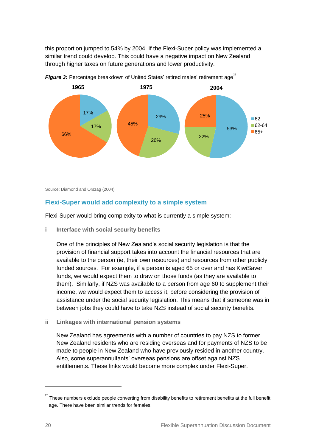this proportion jumped to 54% by 2004. If the Flexi-Super policy was implemented a similar trend could develop. This could have a negative impact on New Zealand through higher taxes on future generations and lower productivity.



Figure 3: Percentage breakdown of United States' retired males' retirement age<sup>25</sup>

Source: Diamond and Orszag (2004)

#### **Flexi-Super would add complexity to a simple system**

Flexi-Super would bring complexity to what is currently a simple system:

**i Interface with social security benefits**

One of the principles of New Zealand's social security legislation is that the provision of financial support takes into account the financial resources that are available to the person (ie, their own resources) and resources from other publicly funded sources. For example, if a person is aged 65 or over and has KiwiSaver funds, we would expect them to draw on those funds (as they are available to them). Similarly, if NZS was available to a person from age 60 to supplement their income, we would expect them to access it, before considering the provision of assistance under the social security legislation. This means that if someone was in between jobs they could have to take NZS instead of social security benefits.

**ii Linkages with international pension systems**

New Zealand has agreements with a number of countries to pay NZS to former New Zealand residents who are residing overseas and for payments of NZS to be made to people in New Zealand who have previously resided in another country. Also, some superannuitants' overseas pensions are offset against NZS entitlements. These links would become more complex under Flexi-Super.

<sup>25</sup> These numbers exclude people converting from disability benefits to retirement benefits at the full benefit age. There have been similar trends for females.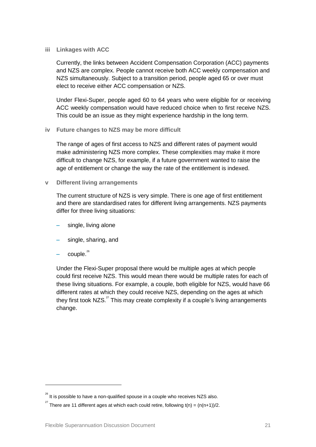#### **iii Linkages with ACC**

Currently, the links between Accident Compensation Corporation (ACC) payments and NZS are complex. People cannot receive both ACC weekly compensation and NZS simultaneously. Subject to a transition period, people aged 65 or over must elect to receive either ACC compensation or NZS.

Under Flexi-Super, people aged 60 to 64 years who were eligible for or receiving ACC weekly compensation would have reduced choice when to first receive NZS. This could be an issue as they might experience hardship in the long term.

#### **iv Future changes to NZS may be more difficult**

The range of ages of first access to NZS and different rates of payment would make administering NZS more complex. These complexities may make it more difficult to change NZS, for example, if a future government wanted to raise the age of entitlement or change the way the rate of the entitlement is indexed.

**v Different living arrangements**

The current structure of NZS is very simple. There is one age of first entitlement and there are standardised rates for different living arrangements. NZS payments differ for three living situations:

- **–** single, living alone
- **–** single, sharing, and
- **–** couple. 26

1

Under the Flexi-Super proposal there would be multiple ages at which people could first receive NZS. This would mean there would be multiple rates for each of these living situations. For example, a couple, both eligible for NZS, would have 66 different rates at which they could receive NZS, depending on the ages at which they first took NZS. $^{27}$  This may create complexity if a couple's living arrangements change.

 $^{26}$  It is possible to have a non-qualified spouse in a couple who receives NZS also.

<sup>&</sup>lt;sup>27</sup> There are 11 different ages at which each could retire, following t(n) = (n(n+1))/2.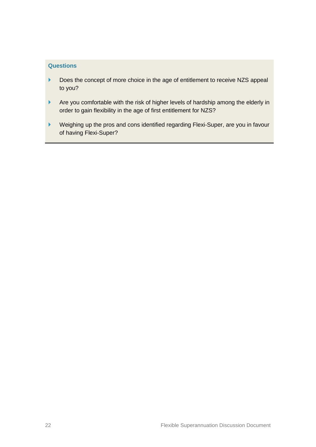#### **Questions**

- Does the concept of more choice in the age of entitlement to receive NZS appeal to you?
- Are you comfortable with the risk of higher levels of hardship among the elderly in order to gain flexibility in the age of first entitlement for NZS?
- Weighing up the pros and cons identified regarding Flexi-Super, are you in favour of having Flexi-Super?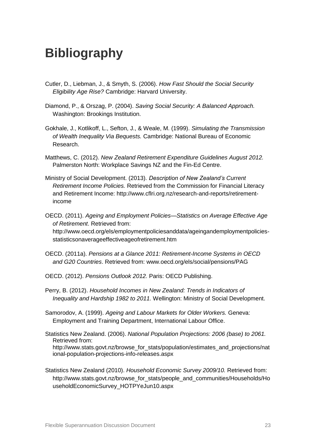## <span id="page-22-0"></span>**Bibliography**

- Cutler, D., Liebman, J., & Smyth, S. (2006). *How Fast Should the Social Security Eligibility Age Rise?* Cambridge: Harvard University.
- Diamond, P., & Orszag, P. (2004). *Saving Social Security: A Balanced Approach.* Washington: Brookings Institution.
- Gokhale, J., Kotlikoff, L., Sefton, J., & Weale, M. (1999). *Simulating the Transmission of Wealth Inequality Via Bequests.* Cambridge: National Bureau of Economic Research.
- Matthews, C. (2012). *New Zealand Retirement Expenditure Guidelines August 2012.*  Palmerston North: Workplace Savings NZ and the Fin-Ed Centre.
- Ministry of Social Development. (2013). *Description of New Zealand's Current Retirement Income Policies.* Retrieved from the Commission for Financial Literacy and Retirement Income: [http://www.cflri.org.nz/research-and-reports/retirement](http://www.cflri.org.nz/research-and-reports/retirement-income)[income](http://www.cflri.org.nz/research-and-reports/retirement-income)
- OECD. (2011). *Ageing and Employment Policies—Statistics on Average Effective Age of Retirement*. Retrieved from:

http://www.oecd.org/els/employmentpoliciesanddata/ageingandemploymentpoliciesstatisticsonaverageeffectiveageofretirement.htm

- OECD. (2011a). *Pensions at a Glance 2011: Retirement-Income Systems in OECD and G20 Countries*. Retrieved from: www.oecd.org/els/social/pensions/PAG
- OECD. (2012). *Pensions Outlook 2012.* Paris: OECD Publishing.
- Perry, B. (2012). *Household Incomes in New Zealand: Trends in Indicators of Inequality and Hardship 1982 to 2011.* Wellington: Ministry of Social Development.
- Samorodov, A. (1999). *Ageing and Labour Markets for Older Workers.* Geneva: Employment and Training Department, International Labour Office.
- Statistics New Zealand. (2006). *National Population Projections: 2006 (base) to 2061.* Retrieved from: [http://www.stats.govt.nz/browse\\_for\\_stats/population/estimates\\_and\\_projections/nat](http://www.stats.govt.nz/browse_for_stats/population/estimates_and_projections/national-population-projections-info-releases.aspx) [ional-population-projections-info-releases.aspx](http://www.stats.govt.nz/browse_for_stats/population/estimates_and_projections/national-population-projections-info-releases.aspx)
- Statistics New Zealand (2010). *Household Economic Survey 2009/10.* Retrieved from: http://www.stats.govt.nz/browse\_for\_stats/people\_and\_communities/Households/Ho useholdEconomicSurvey\_HOTPYeJun10.aspx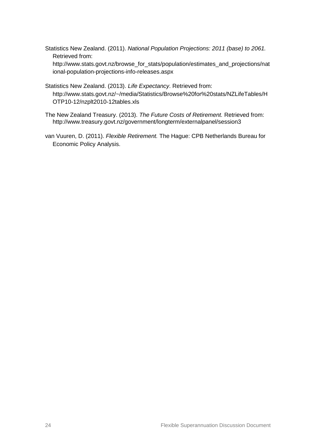Statistics New Zealand. (2011). *National Population Projections: 2011 (base) to 2061.* Retrieved from:

[http://www.stats.govt.nz/browse\\_for\\_stats/population/estimates\\_and\\_projections/nat](http://www.stats.govt.nz/browse_for_stats/population/estimates_and_projections/national-population-projections-info-releases.aspx) [ional-population-projections-info-releases.aspx](http://www.stats.govt.nz/browse_for_stats/population/estimates_and_projections/national-population-projections-info-releases.aspx)

- Statistics New Zealand. (2013). *Life Expectancy*. Retrieved from: http://www.stats.govt.nz/~/media/Statistics/Browse%20for%20stats/NZLifeTables/H OTP10-12/nzplt2010-12tables.xls
- The New Zealand Treasury. (2013). *The Future Costs of Retirement.* Retrieved from: http://www.treasury.govt.nz/government/longterm/externalpanel/session3
- van Vuuren, D. (2011). *Flexible Retirement.* The Hague: CPB Netherlands Bureau for Economic Policy Analysis.